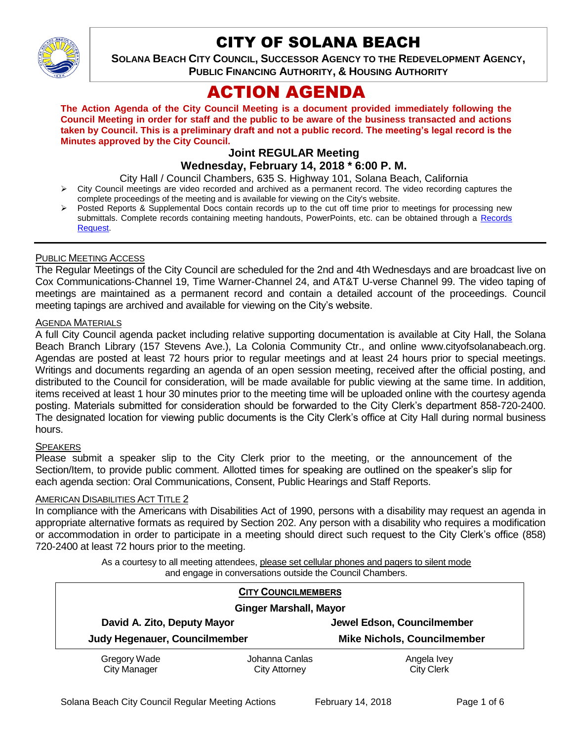

# CITY OF SOLANA BEACH

**SOLANA BEACH CITY COUNCIL, SUCCESSOR AGENCY TO THE REDEVELOPMENT AGENCY, PUBLIC FINANCING AUTHORITY, & HOUSING AUTHORITY** 

# ACTION AGENDA

**The Action Agenda of the City Council Meeting is a document provided immediately following the Council Meeting in order for staff and the public to be aware of the business transacted and actions taken by Council. This is a preliminary draft and not a public record. The meeting's legal record is the Minutes approved by the City Council.**

# **Joint REGULAR Meeting**

# **Wednesday, February 14, 2018 \* 6:00 P. M.**

City Hall / Council Chambers, 635 S. Highway 101, Solana Beach, California

- City Council meetings are video recorded and archived as a permanent record. The video recording captures the complete proceedings of the meeting and is available for viewing on the City's website.
- Posted Reports & Supplemental Docs contain records up to the cut off time prior to meetings for processing new submittals. Complete records containing meeting handouts, PowerPoints, etc. can be obtained through a [Records](http://www.ci.solana-beach.ca.us/index.asp?SEC=F5D45D10-70CE-4291-A27C-7BD633FC6742&Type=B_BASIC)  [Request.](http://www.ci.solana-beach.ca.us/index.asp?SEC=F5D45D10-70CE-4291-A27C-7BD633FC6742&Type=B_BASIC)

#### PUBLIC MEETING ACCESS

The Regular Meetings of the City Council are scheduled for the 2nd and 4th Wednesdays and are broadcast live on Cox Communications-Channel 19, Time Warner-Channel 24, and AT&T U-verse Channel 99. The video taping of meetings are maintained as a permanent record and contain a detailed account of the proceedings. Council meeting tapings are archived and available for viewing on the City's website.

#### AGENDA MATERIALS

A full City Council agenda packet including relative supporting documentation is available at City Hall, the Solana Beach Branch Library (157 Stevens Ave.), La Colonia Community Ctr., and online www.cityofsolanabeach.org. Agendas are posted at least 72 hours prior to regular meetings and at least 24 hours prior to special meetings. Writings and documents regarding an agenda of an open session meeting, received after the official posting, and distributed to the Council for consideration, will be made available for public viewing at the same time. In addition, items received at least 1 hour 30 minutes prior to the meeting time will be uploaded online with the courtesy agenda posting. Materials submitted for consideration should be forwarded to the City Clerk's department 858-720-2400. The designated location for viewing public documents is the City Clerk's office at City Hall during normal business hours.

#### **SPEAKERS**

Please submit a speaker slip to the City Clerk prior to the meeting, or the announcement of the Section/Item, to provide public comment. Allotted times for speaking are outlined on the speaker's slip for each agenda section: Oral Communications, Consent, Public Hearings and Staff Reports.

#### AMERICAN DISABILITIES ACT TITLE 2

In compliance with the Americans with Disabilities Act of 1990, persons with a disability may request an agenda in appropriate alternative formats as required by Section 202. Any person with a disability who requires a modification or accommodation in order to participate in a meeting should direct such request to the City Clerk's office (858) 720-2400 at least 72 hours prior to the meeting.

> As a courtesy to all meeting attendees, please set cellular phones and pagers to silent mode and engage in conversations outside the Council Chambers.

| <b>CITY COUNCILMEMBERS</b>          |                                        |                                    |
|-------------------------------------|----------------------------------------|------------------------------------|
| <b>Ginger Marshall, Mayor</b>       |                                        |                                    |
| David A. Zito, Deputy Mayor         |                                        | Jewel Edson, Councilmember         |
| Judy Hegenauer, Councilmember       |                                        | <b>Mike Nichols, Councilmember</b> |
| Gregory Wade<br><b>City Manager</b> | Johanna Canlas<br><b>City Attorney</b> | Angela Ivey<br><b>City Clerk</b>   |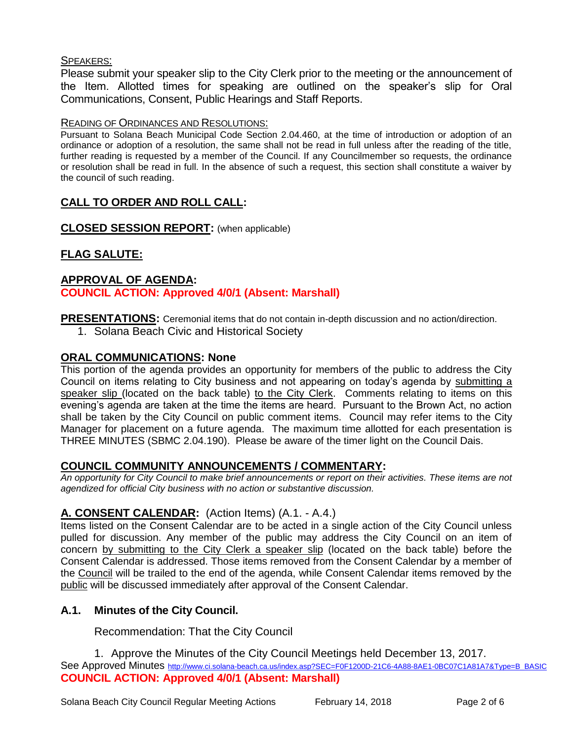## SPEAKERS:

Please submit your speaker slip to the City Clerk prior to the meeting or the announcement of the Item. Allotted times for speaking are outlined on the speaker's slip for Oral Communications, Consent, Public Hearings and Staff Reports.

#### READING OF ORDINANCES AND RESOLUTIONS:

Pursuant to Solana Beach Municipal Code Section 2.04.460, at the time of introduction or adoption of an ordinance or adoption of a resolution, the same shall not be read in full unless after the reading of the title, further reading is requested by a member of the Council. If any Councilmember so requests, the ordinance or resolution shall be read in full. In the absence of such a request, this section shall constitute a waiver by the council of such reading.

# **CALL TO ORDER AND ROLL CALL:**

**CLOSED SESSION REPORT:** (when applicable)

# **FLAG SALUTE:**

## **APPROVAL OF AGENDA: COUNCIL ACTION: Approved 4/0/1 (Absent: Marshall)**

**PRESENTATIONS:** Ceremonial items that do not contain in-depth discussion and no action/direction.

1. Solana Beach Civic and Historical Society

# **ORAL COMMUNICATIONS: None**

This portion of the agenda provides an opportunity for members of the public to address the City Council on items relating to City business and not appearing on today's agenda by submitting a speaker slip (located on the back table) to the City Clerk. Comments relating to items on this evening's agenda are taken at the time the items are heard. Pursuant to the Brown Act, no action shall be taken by the City Council on public comment items. Council may refer items to the City Manager for placement on a future agenda. The maximum time allotted for each presentation is THREE MINUTES (SBMC 2.04.190). Please be aware of the timer light on the Council Dais.

# **COUNCIL COMMUNITY ANNOUNCEMENTS / COMMENTARY:**

*An opportunity for City Council to make brief announcements or report on their activities. These items are not agendized for official City business with no action or substantive discussion.* 

# **A. CONSENT CALENDAR:** (Action Items) (A.1. - A.4.)

Items listed on the Consent Calendar are to be acted in a single action of the City Council unless pulled for discussion. Any member of the public may address the City Council on an item of concern by submitting to the City Clerk a speaker slip (located on the back table) before the Consent Calendar is addressed. Those items removed from the Consent Calendar by a member of the Council will be trailed to the end of the agenda, while Consent Calendar items removed by the public will be discussed immediately after approval of the Consent Calendar.

# **A.1. Minutes of the City Council.**

Recommendation: That the City Council

1. Approve the Minutes of the City Council Meetings held December 13, 2017. See Approved Minutes [http://www.ci.solana-beach.ca.us/index.asp?SEC=F0F1200D-21C6-4A88-8AE1-0BC07C1A81A7&Type=B\\_BASIC](http://www.ci.solana-beach.ca.us/index.asp?SEC=F0F1200D-21C6-4A88-8AE1-0BC07C1A81A7&Type=B_BASIC) **COUNCIL ACTION: Approved 4/0/1 (Absent: Marshall)**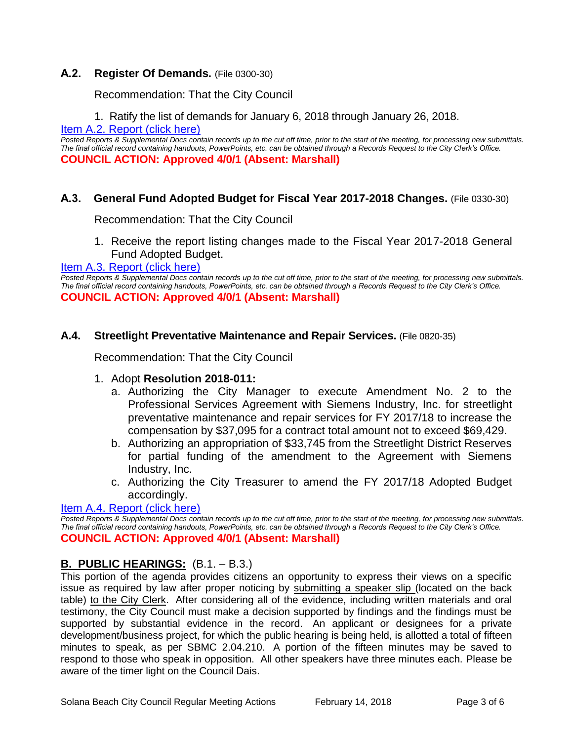# **A.2. Register Of Demands.** (File 0300-30)

Recommendation: That the City Council

1. Ratify the list of demands for January 6, 2018 through January 26, 2018.

[Item A.2. Report \(click here\)](https://solanabeach.govoffice3.com/vertical/Sites/%7B840804C2-F869-4904-9AE3-720581350CE7%7D/uploads/Item_A.2._Report_(click_here)_-_02-14-18.PDF)

*Posted Reports & Supplemental Docs contain records up to the cut off time, prior to the start of the meeting, for processing new submittals. The final official record containing handouts, PowerPoints, etc. can be obtained through a Records Request to the City Clerk's Office.* **COUNCIL ACTION: Approved 4/0/1 (Absent: Marshall)**

## **A.3. General Fund Adopted Budget for Fiscal Year 2017-2018 Changes.** (File 0330-30)

Recommendation: That the City Council

1. Receive the report listing changes made to the Fiscal Year 2017-2018 General Fund Adopted Budget.

## [Item A.3. Report \(click here\)](https://solanabeach.govoffice3.com/vertical/Sites/%7B840804C2-F869-4904-9AE3-720581350CE7%7D/uploads/Item_A.3._Report_(click_here)_-_02-14-18.PDF)

*Posted Reports & Supplemental Docs contain records up to the cut off time, prior to the start of the meeting, for processing new submittals. The final official record containing handouts, PowerPoints, etc. can be obtained through a Records Request to the City Clerk's Office.* **COUNCIL ACTION: Approved 4/0/1 (Absent: Marshall)**

#### **A.4. Streetlight Preventative Maintenance and Repair Services.** (File 0820-35)

Recommendation: That the City Council

#### 1. Adopt **Resolution 2018-011:**

- a. Authorizing the City Manager to execute Amendment No. 2 to the Professional Services Agreement with Siemens Industry, Inc. for streetlight preventative maintenance and repair services for FY 2017/18 to increase the compensation by \$37,095 for a contract total amount not to exceed \$69,429.
- b. Authorizing an appropriation of \$33,745 from the Streetlight District Reserves for partial funding of the amendment to the Agreement with Siemens Industry, Inc.
- c. Authorizing the City Treasurer to amend the FY 2017/18 Adopted Budget accordingly.

#### [Item A.4. Report \(click here\)](https://solanabeach.govoffice3.com/vertical/Sites/%7B840804C2-F869-4904-9AE3-720581350CE7%7D/uploads/Item_A.4._Report_(click_here)_-_02-14-18.PDF)

*Posted Reports & Supplemental Docs contain records up to the cut off time, prior to the start of the meeting, for processing new submittals. The final official record containing handouts, PowerPoints, etc. can be obtained through a Records Request to the City Clerk's Office.* **COUNCIL ACTION: Approved 4/0/1 (Absent: Marshall)**

#### **B. PUBLIC HEARINGS:** (B.1. – B.3.)

This portion of the agenda provides citizens an opportunity to express their views on a specific issue as required by law after proper noticing by submitting a speaker slip (located on the back table) to the City Clerk. After considering all of the evidence, including written materials and oral testimony, the City Council must make a decision supported by findings and the findings must be supported by substantial evidence in the record. An applicant or designees for a private development/business project, for which the public hearing is being held, is allotted a total of fifteen minutes to speak, as per SBMC 2.04.210. A portion of the fifteen minutes may be saved to respond to those who speak in opposition. All other speakers have three minutes each. Please be aware of the timer light on the Council Dais.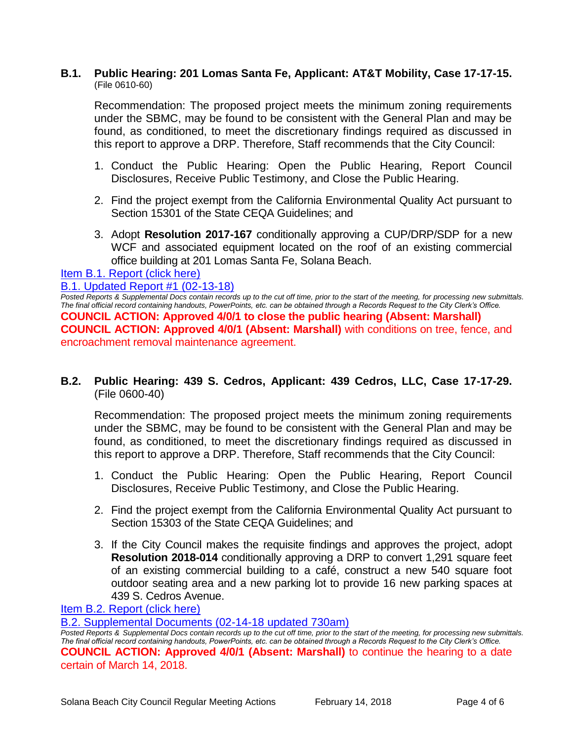#### **B.1. Public Hearing: 201 Lomas Santa Fe, Applicant: AT&T Mobility, Case 17-17-15.** (File 0610-60)

Recommendation: The proposed project meets the minimum zoning requirements under the SBMC, may be found to be consistent with the General Plan and may be found, as conditioned, to meet the discretionary findings required as discussed in this report to approve a DRP. Therefore, Staff recommends that the City Council:

- 1. Conduct the Public Hearing: Open the Public Hearing, Report Council Disclosures, Receive Public Testimony, and Close the Public Hearing.
- 2. Find the project exempt from the California Environmental Quality Act pursuant to Section 15301 of the State CEQA Guidelines; and
- 3. Adopt **Resolution 2017-167** conditionally approving a CUP/DRP/SDP for a new WCF and associated equipment located on the roof of an existing commercial office building at 201 Lomas Santa Fe, Solana Beach.

#### [Item B.1. Report \(click here\)](https://solanabeach.govoffice3.com/vertical/Sites/%7B840804C2-F869-4904-9AE3-720581350CE7%7D/uploads/Item_B.1._Report_(click_here)_-_02-14-18.PDF)

#### B.1. [Updated Report #1 \(02-13-18\)](https://solanabeach.govoffice3.com/vertical/Sites/%7B840804C2-F869-4904-9AE3-720581350CE7%7D/uploads/B.1._Supplemental_Documents_-_02-13-18.pdf)

*Posted Reports & Supplemental Docs contain records up to the cut off time, prior to the start of the meeting, for processing new submittals. The final official record containing handouts, PowerPoints, etc. can be obtained through a Records Request to the City Clerk's Office.* **COUNCIL ACTION: Approved 4/0/1 to close the public hearing (Absent: Marshall) COUNCIL ACTION: Approved 4/0/1 (Absent: Marshall)** with conditions on tree, fence, and encroachment removal maintenance agreement.

**B.2. Public Hearing: 439 S. Cedros, Applicant: 439 Cedros, LLC, Case 17-17-29.** (File 0600-40)

Recommendation: The proposed project meets the minimum zoning requirements under the SBMC, may be found to be consistent with the General Plan and may be found, as conditioned, to meet the discretionary findings required as discussed in this report to approve a DRP. Therefore, Staff recommends that the City Council:

- 1. Conduct the Public Hearing: Open the Public Hearing, Report Council Disclosures, Receive Public Testimony, and Close the Public Hearing.
- 2. Find the project exempt from the California Environmental Quality Act pursuant to Section 15303 of the State CEQA Guidelines; and
- 3. If the City Council makes the requisite findings and approves the project, adopt **Resolution 2018-014** conditionally approving a DRP to convert 1,291 square feet of an existing commercial building to a café, construct a new 540 square foot outdoor seating area and a new parking lot to provide 16 new parking spaces at 439 S. Cedros Avenue.

[Item B.2. Report \(click here\)](https://solanabeach.govoffice3.com/vertical/Sites/%7B840804C2-F869-4904-9AE3-720581350CE7%7D/uploads/Item_B.2._Report_(click_here)_-_02-14-18.pdf)

[B.2. Supplemental Documents \(02-14-18](https://solanabeach.govoffice3.com/vertical/Sites/%7B840804C2-F869-4904-9AE3-720581350CE7%7D/uploads/B.2._Supplemental_Documents_(02-14-18_updated_730am).pdf) updated 730am)

*Posted Reports & Supplemental Docs contain records up to the cut off time, prior to the start of the meeting, for processing new submittals. The final official record containing handouts, PowerPoints, etc. can be obtained through a Records Request to the City Clerk's Office.* **COUNCIL ACTION: Approved 4/0/1 (Absent: Marshall)** to continue the hearing to a date certain of March 14, 2018.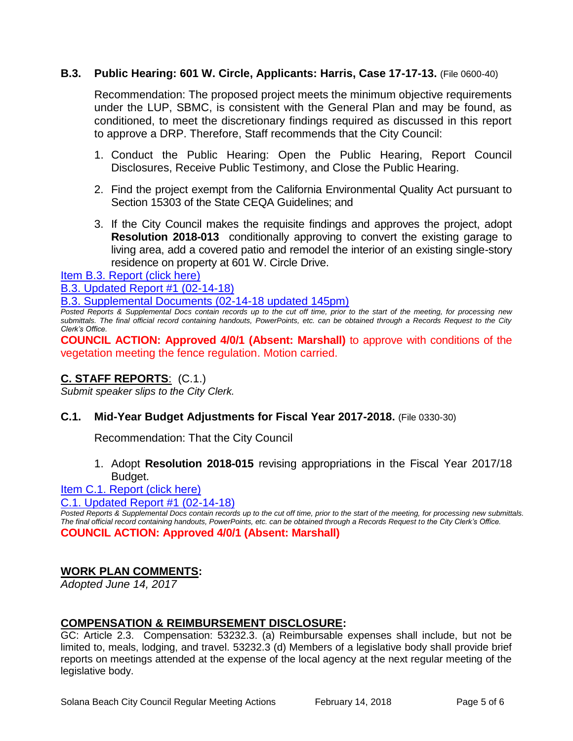## **B.3. Public Hearing: 601 W. Circle, Applicants: Harris, Case 17-17-13.** (File 0600-40)

Recommendation: The proposed project meets the minimum objective requirements under the LUP, SBMC, is consistent with the General Plan and may be found, as conditioned, to meet the discretionary findings required as discussed in this report to approve a DRP. Therefore, Staff recommends that the City Council:

- 1. Conduct the Public Hearing: Open the Public Hearing, Report Council Disclosures, Receive Public Testimony, and Close the Public Hearing.
- 2. Find the project exempt from the California Environmental Quality Act pursuant to Section 15303 of the State CEQA Guidelines; and
- 3. If the City Council makes the requisite findings and approves the project, adopt **Resolution 2018-013** conditionally approving to convert the existing garage to living area, add a covered patio and remodel the interior of an existing single-story residence on property at 601 W. Circle Drive.

[Item B.3. Report \(click here\)](https://solanabeach.govoffice3.com/vertical/Sites/%7B840804C2-F869-4904-9AE3-720581350CE7%7D/uploads/Item_B.3._Report_(click_here)_-_02-14-18.PDF)

[B.3. Updated Report #1 \(02-14-18\)](https://solanabeach.govoffice3.com/vertical/Sites/%7B840804C2-F869-4904-9AE3-720581350CE7%7D/uploads/B.3._Updated_Report_1_-_02-14-18.pdf)

[B.3. Supplemental Documents \(02-14-18 updated 145pm\)](https://solanabeach.govoffice3.com/vertical/Sites/%7B840804C2-F869-4904-9AE3-720581350CE7%7D/uploads/B.3._Supplemental_Documents_(02-14-18_updated_146pm).pdf)

*Posted Reports & Supplemental Docs contain records up to the cut off time, prior to the start of the meeting, for processing new submittals. The final official record containing handouts, PowerPoints, etc. can be obtained through a Records Request to the City Clerk's Office.*

**COUNCIL ACTION: Approved 4/0/1 (Absent: Marshall)** to approve with conditions of the vegetation meeting the fence regulation. Motion carried.

# **C. STAFF REPORTS**: (C.1.)

*Submit speaker slips to the City Clerk.*

#### **C.1. Mid-Year Budget Adjustments for Fiscal Year 2017-2018.** (File 0330-30)

Recommendation: That the City Council

1. Adopt **Resolution 2018-015** revising appropriations in the Fiscal Year 2017/18 Budget.

[Item C.1. Report \(click here\)](https://solanabeach.govoffice3.com/vertical/Sites/%7B840804C2-F869-4904-9AE3-720581350CE7%7D/uploads/Item_C.1._Report_(click_here)_-_02-14-18.PDF)

[C.1. Updated Report #1 \(02-14-18\)](https://solanabeach.govoffice3.com/vertical/Sites/%7B840804C2-F869-4904-9AE3-720581350CE7%7D/uploads/C.1._Updated_Report_1_-_02-14-18.pdf)

**Posted Reports & Supplemental Docs contain records up to the cut off time, prior to the start of the meeting, for processing new submittals.** *The final official record containing handouts, PowerPoints, etc. can be obtained through a Records Request to the City Clerk's Office.* **COUNCIL ACTION: Approved 4/0/1 (Absent: Marshall)**

#### **WORK PLAN COMMENTS:**

*Adopted June 14, 2017*

#### **COMPENSATION & REIMBURSEMENT DISCLOSURE:**

GC: Article 2.3. Compensation: 53232.3. (a) Reimbursable expenses shall include, but not be limited to, meals, lodging, and travel. 53232.3 (d) Members of a legislative body shall provide brief reports on meetings attended at the expense of the local agency at the next regular meeting of the legislative body.